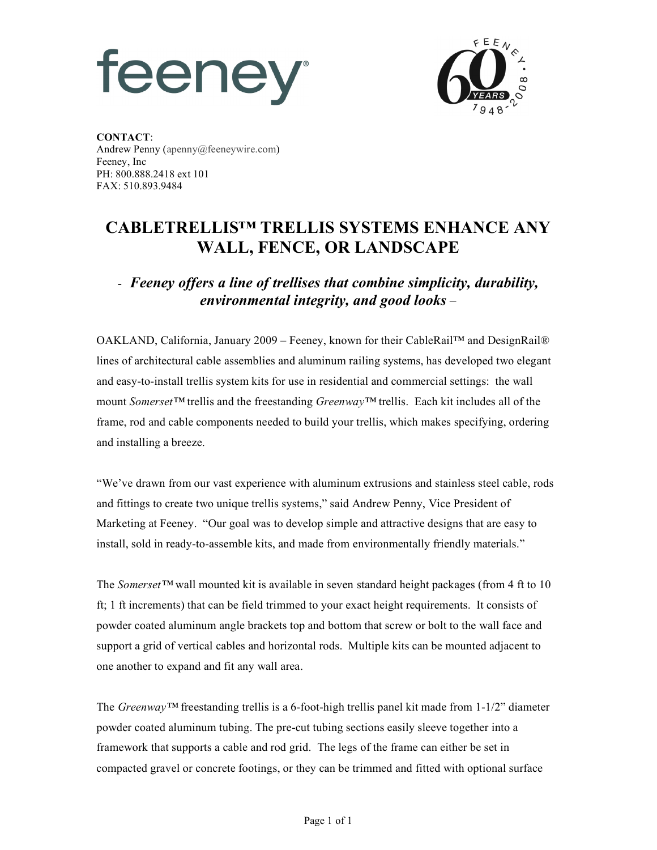## feeney



**CONTACT**: Andrew Penny (apenny@feeneywire.com) Feeney, Inc PH: 800.888.2418 ext 101 FAX: 510.893.9484

## **CABLETRELLIS™ TRELLIS SYSTEMS ENHANCE ANY WALL, FENCE, OR LANDSCAPE**

## - *Feeney offers a line of trellises that combine simplicity, durability, environmental integrity, and good looks –*

OAKLAND, California, January 2009 – Feeney, known for their CableRail™ and DesignRail® lines of architectural cable assemblies and aluminum railing systems, has developed two elegant and easy-to-install trellis system kits for use in residential and commercial settings: the wall mount *Somerset™* trellis and the freestanding *Greenway™* trellis. Each kit includes all of the frame, rod and cable components needed to build your trellis, which makes specifying, ordering and installing a breeze.

"We've drawn from our vast experience with aluminum extrusions and stainless steel cable, rods and fittings to create two unique trellis systems," said Andrew Penny, Vice President of Marketing at Feeney. "Our goal was to develop simple and attractive designs that are easy to install, sold in ready-to-assemble kits, and made from environmentally friendly materials."

The *Somerset™* wall mounted kit is available in seven standard height packages (from 4 ft to 10 ft; 1 ft increments) that can be field trimmed to your exact height requirements. It consists of powder coated aluminum angle brackets top and bottom that screw or bolt to the wall face and support a grid of vertical cables and horizontal rods. Multiple kits can be mounted adjacent to one another to expand and fit any wall area.

The *Greenway™* freestanding trellis is a 6-foot-high trellis panel kit made from 1-1/2" diameter powder coated aluminum tubing. The pre-cut tubing sections easily sleeve together into a framework that supports a cable and rod grid. The legs of the frame can either be set in compacted gravel or concrete footings, or they can be trimmed and fitted with optional surface